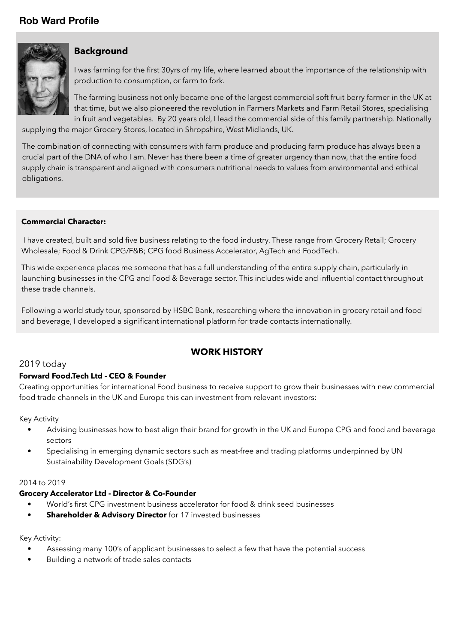# **Rob Ward Profile**



### **Background**

I was farming for the first 30yrs of my life, where learned about the importance of the relationship with production to consumption, or farm to fork.

The farming business not only became one of the largest commercial soft fruit berry farmer in the UK at that time, but we also pioneered the revolution in Farmers Markets and Farm Retail Stores, specialising in fruit and vegetables. By 20 years old, I lead the commercial side of this family partnership. Nationally

supplying the major Grocery Stores, located in Shropshire, West Midlands, UK.

The combination of connecting with consumers with farm produce and producing farm produce has always been a crucial part of the DNA of who I am. Never has there been a time of greater urgency than now, that the entire food supply chain is transparent and aligned with consumers nutritional needs to values from environmental and ethical obligations.

#### **Commercial Character:**

I have created, built and sold five business relating to the food industry. These range from Grocery Retail; Grocery Wholesale; Food & Drink CPG/F&B; CPG food Business Accelerator, AgTech and FoodTech.

This wide experience places me someone that has a full understanding of the entire supply chain, particularly in launching businesses in the CPG and Food & Beverage sector. This includes wide and influential contact throughout these trade channels.

Following a world study tour, sponsored by HSBC Bank, researching where the innovation in grocery retail and food and beverage, I developed a significant international platform for trade contacts internationally.

## **WORK HISTORY**

### 2019 today

#### **Forward Food.Tech Ltd - CEO & Founder**

Creating opportunities for international Food business to receive support to grow their businesses with new commercial food trade channels in the UK and Europe this can investment from relevant investors:

Key Activity

- Advising businesses how to best align their brand for growth in the UK and Europe CPG and food and beverage sectors
- Specialising in emerging dynamic sectors such as meat-free and trading platforms underpinned by UN Sustainability Development Goals (SDG's)

#### 2014 to 2019

#### **Grocery Accelerator Ltd - Director & Co-Founder**

- **•** World's first CPG investment business accelerator for food & drink seed businesses
- **• Shareholder & Advisory Director** for 17 invested businesses

#### Key Activity:

- Assessing many 100's of applicant businesses to select a few that have the potential success
- Building a network of trade sales contacts